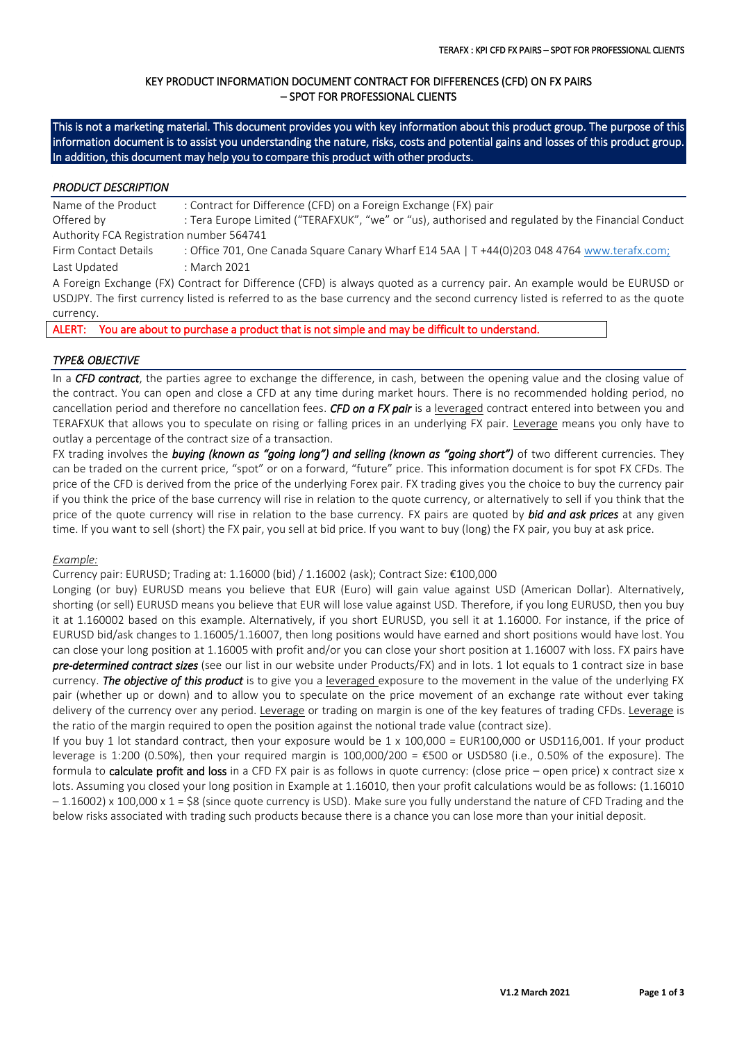# KEY PRODUCT INFORMATION DOCUMENT CONTRACT FOR DIFFERENCES (CFD) ON FX PAIRS – SPOT FOR PROFESSIONAL CLIENTS

This is not a marketing material. This document provides you with key information about this product group. The purpose of this information document is to assist you understanding the nature, risks, costs and potential gains and losses of this product group. In addition, this document may help you to compare this product with other products.

## *PRODUCT DESCRIPTION*

Name of the Product : Contract for Difference (CFD) on a Foreign Exchange (FX) pair Offered by : Tera Europe Limited ("TERAFXUK", "we" or "us), authorised and regulated by the Financial Conduct Authority FCA Registration number 564741 Firm Contact Details : Office 701, One Canada Square Canary Wharf E14 5AA | T +44(0)203 048 4764 [www.terafx.com;](http://www.terafx.com/) Last Updated : March 2021 A Foreign Exchange (FX) Contract for Difference (CFD) is always quoted as a currency pair. An example would be EURUSD or USDJPY. The first currency listed is referred to as the base currency and the second currency listed is referred to as the quote

#### currency.

ALERT: You are about to purchase a product that is not simple and may be difficult to understand.

## *TYPE& OBJECTIVE*

In a *CFD contract*, the parties agree to exchange the difference, in cash, between the opening value and the closing value of the contract. You can open and close a CFD at any time during market hours. There is no recommended holding period, no cancellation period and therefore no cancellation fees. *CFD on a FX pair* is a leveraged contract entered into between you and TERAFXUK that allows you to speculate on rising or falling prices in an underlying FX pair. Leverage means you only have to outlay a percentage of the contract size of a transaction.

FX trading involves the *buying (known as "going long") and selling (known as "going short")* of two different currencies. They can be traded on the current price, "spot" or on a forward, "future" price. This information document is for spot FX CFDs. The price of the CFD is derived from the price of the underlying Forex pair. FX trading gives you the choice to buy the currency pair if you think the price of the base currency will rise in relation to the quote currency, or alternatively to sell if you think that the price of the quote currency will rise in relation to the base currency. FX pairs are quoted by *bid and ask prices* at any given time. If you want to sell (short) the FX pair, you sell at bid price. If you want to buy (long) the FX pair, you buy at ask price.

## *Example:*

Currency pair: EURUSD; Trading at: 1.16000 (bid) / 1.16002 (ask); Contract Size: €100,000

Longing (or buy) EURUSD means you believe that EUR (Euro) will gain value against USD (American Dollar). Alternatively, shorting (or sell) EURUSD means you believe that EUR will lose value against USD. Therefore, if you long EURUSD, then you buy it at 1.160002 based on this example. Alternatively, if you short EURUSD, you sell it at 1.16000. For instance, if the price of EURUSD bid/ask changes to 1.16005/1.16007, then long positions would have earned and short positions would have lost. You can close your long position at 1.16005 with profit and/or you can close your short position at 1.16007 with loss. FX pairs have *pre-determined contract sizes* (see our list in our website under Products/FX) and in lots. 1 lot equals to 1 contract size in base currency. *The objective of this product* is to give you a leveraged exposure to the movement in the value of the underlying FX pair (whether up or down) and to allow you to speculate on the price movement of an exchange rate without ever taking delivery of the currency over any period. Leverage or trading on margin is one of the key features of trading CFDs. Leverage is the ratio of the margin required to open the position against the notional trade value (contract size).

If you buy 1 lot standard contract, then your exposure would be 1 x 100,000 = EUR100,000 or USD116,001. If your product leverage is 1:200 (0.50%), then your required margin is  $100,000/200 = \text{\textsterling}500$  or USD580 (i.e., 0.50% of the exposure). The formula to **calculate profit and loss** in a CFD FX pair is as follows in quote currency: (close price – open price) x contract size x lots. Assuming you closed your long position in Example at 1.16010, then your profit calculations would be as follows: (1.16010 – 1.16002) x 100,000 x 1 = \$8 (since quote currency is USD). Make sure you fully understand the nature of CFD Trading and the below risks associated with trading such products because there is a chance you can lose more than your initial deposit.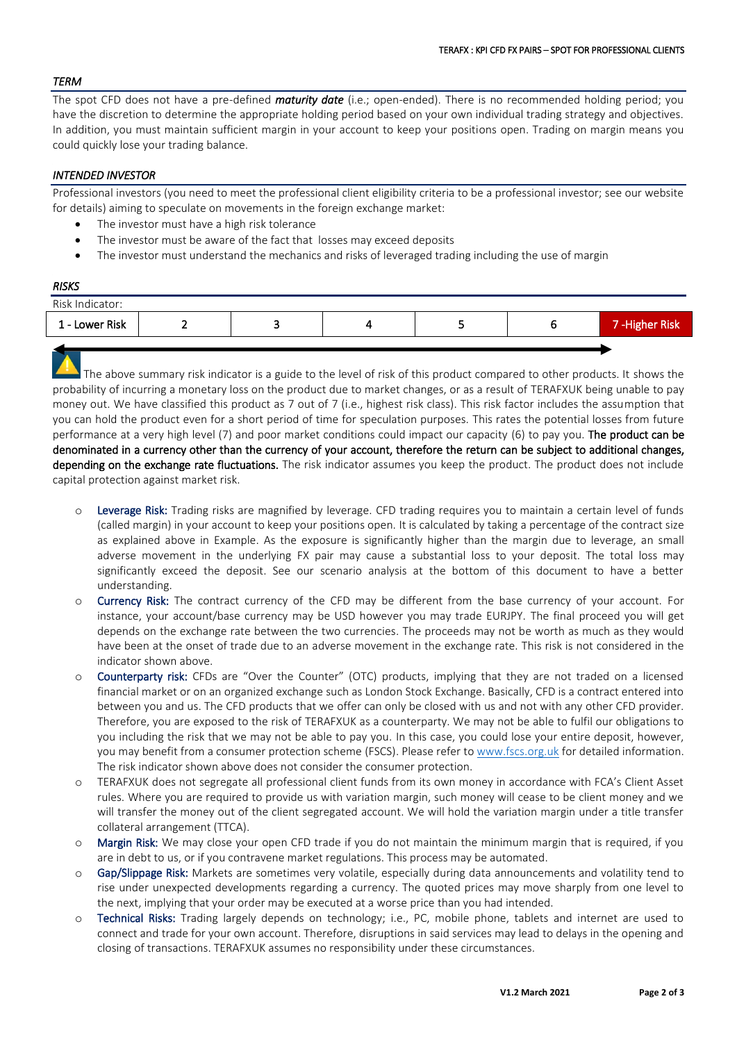## *TERM*

The spot CFD does not have a pre-defined *maturity date* (i.e.; open-ended). There is no recommended holding period; you have the discretion to determine the appropriate holding period based on your own individual trading strategy and objectives. In addition, you must maintain sufficient margin in your account to keep your positions open. Trading on margin means you could quickly lose your trading balance.

## *INTENDED INVESTOR*

Professional investors (you need to meet the professional client eligibility criteria to be a professional investor; see our website for details) aiming to speculate on movements in the foreign exchange market:

- The investor must have a high risk tolerance
- The investor must be aware of the fact that losses may exceed deposits
- The investor must understand the mechanics and risks of leveraged trading including the use of margin

### *RISKS*

| Risk Indicator: |   |  |   |                      |
|-----------------|---|--|---|----------------------|
| 1 - Lower Risk  | - |  | ٠ | <b>7-Higher Risk</b> |
|                 |   |  |   |                      |

The above summary risk indicator is a guide to the level of risk of this product compared to other products. It shows the probability of incurring a monetary loss on the product due to market changes, or as a result of TERAFXUK being unable to pay money out. We have classified this product as 7 out of 7 (i.e., highest risk class). This risk factor includes the assumption that you can hold the product even for a short period of time for speculation purposes. This rates the potential losses from future performance at a very high level (7) and poor market conditions could impact our capacity (6) to pay you. The product can be denominated in a currency other than the currency of your account, therefore the return can be subject to additional changes, depending on the exchange rate fluctuations. The risk indicator assumes you keep the product. The product does not include capital protection against market risk.

- o Leverage Risk: Trading risks are magnified by leverage. CFD trading requires you to maintain a certain level of funds (called margin) in your account to keep your positions open. It is calculated by taking a percentage of the contract size as explained above in Example. As the exposure is significantly higher than the margin due to leverage, an small adverse movement in the underlying FX pair may cause a substantial loss to your deposit. The total loss may significantly exceed the deposit. See our scenario analysis at the bottom of this document to have a better understanding.
- o Currency Risk: The contract currency of the CFD may be different from the base currency of your account. For instance, your account/base currency may be USD however you may trade EURJPY. The final proceed you will get depends on the exchange rate between the two currencies. The proceeds may not be worth as much as they would have been at the onset of trade due to an adverse movement in the exchange rate. This risk is not considered in the indicator shown above.
- Counterparty risk: CFDs are "Over the Counter" (OTC) products, implying that they are not traded on a licensed financial market or on an organized exchange such as London Stock Exchange. Basically, CFD is a contract entered into between you and us. The CFD products that we offer can only be closed with us and not with any other CFD provider. Therefore, you are exposed to the risk of TERAFXUK as a counterparty. We may not be able to fulfil our obligations to you including the risk that we may not be able to pay you. In this case, you could lose your entire deposit, however, you may benefit from a consumer protection scheme (FSCS). Please refer t[o www.fscs.org.uk](http://www.fscs.org.uk/) for detailed information. The risk indicator shown above does not consider the consumer protection.
- o TERAFXUK does not segregate all professional client funds from its own money in accordance with FCA's Client Asset rules. Where you are required to provide us with variation margin, such money will cease to be client money and we will transfer the money out of the client segregated account. We will hold the variation margin under a title transfer collateral arrangement (TTCA).
- o Margin Risk: We may close your open CFD trade if you do not maintain the minimum margin that is required, if you are in debt to us, or if you contravene market regulations. This process may be automated.
- o Gap/Slippage Risk: Markets are sometimes very volatile, especially during data announcements and volatility tend to rise under unexpected developments regarding a currency. The quoted prices may move sharply from one level to the next, implying that your order may be executed at a worse price than you had intended.
- o Technical Risks: Trading largely depends on technology; i.e., PC, mobile phone, tablets and internet are used to connect and trade for your own account. Therefore, disruptions in said services may lead to delays in the opening and closing of transactions. TERAFXUK assumes no responsibility under these circumstances.